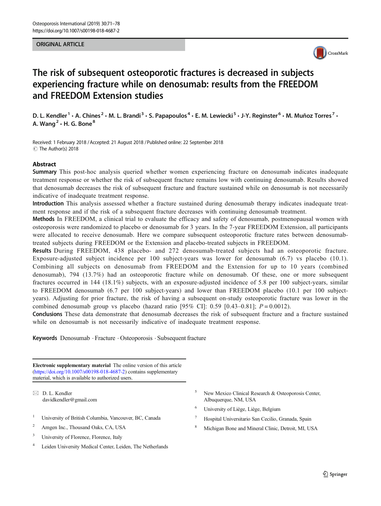#### ORIGINAL ARTICLE



# The risk of subsequent osteoporotic fractures is decreased in subjects experiencing fracture while on denosumab: results from the FREEDOM and FREEDOM Extension studies

D. L. Kendler<sup>1</sup> • A. Chines<sup>2</sup> • M. L. Brandi<sup>3</sup> • S. Papapoulos<sup>4</sup> • E. M. Lewiecki<sup>5</sup> • J-Y. Reginster<sup>6</sup> • M. Muñoz Torres<sup>7</sup> • A. Wang<sup>2</sup>  $\cdot$  H. G. Bone<sup>8</sup>

Received: 1 February 2018 /Accepted: 21 August 2018 /Published online: 22 September 2018 C The Author(s) 2018

#### **Abstract**

Summary This post-hoc analysis queried whether women experiencing fracture on denosumab indicates inadequate treatment response or whether the risk of subsequent fracture remains low with continuing denosumab. Results showed that denosumab decreases the risk of subsequent fracture and fracture sustained while on denosumab is not necessarily indicative of inadequate treatment response.

Introduction This analysis assessed whether a fracture sustained during denosumab therapy indicates inadequate treatment response and if the risk of a subsequent fracture decreases with continuing denosumab treatment.

Methods In FREEDOM, a clinical trial to evaluate the efficacy and safety of denosumab, postmenopausal women with osteoporosis were randomized to placebo or denosumab for 3 years. In the 7-year FREEDOM Extension, all participants were allocated to receive denosumab. Here we compare subsequent osteoporotic fracture rates between denosumabtreated subjects during FREEDOM or the Extension and placebo-treated subjects in FREEDOM.

Results During FREEDOM, 438 placebo- and 272 denosumab-treated subjects had an osteoporotic fracture. Exposure-adjusted subject incidence per 100 subject-years was lower for denosumab (6.7) vs placebo (10.1). Combining all subjects on denosumab from FREEDOM and the Extension for up to 10 years (combined denosumab), 794 (13.7%) had an osteoporotic fracture while on denosumab. Of these, one or more subsequent fractures occurred in 144 (18.1%) subjects, with an exposure-adjusted incidence of 5.8 per 100 subject-years, similar to FREEDOM denosumab (6.7 per 100 subject-years) and lower than FREEDOM placebo (10.1 per 100 subjectyears). Adjusting for prior fracture, the risk of having a subsequent on-study osteoporotic fracture was lower in the combined denosumab group vs placebo (hazard ratio [95% CI]: 0.59 [0.43–0.81];  $P = 0.0012$ ).

Conclusions These data demonstrate that denosumab decreases the risk of subsequent fracture and a fracture sustained while on denosumab is not necessarily indicative of inadequate treatment response.

Keywords Denosumab · Fracture · Osteoporosis · Subsequent fracture

Electronic supplementary material The online version of this article (<https://doi.org/10.1007/s00198-018-4687-2>) contains supplementary material, which is available to authorized users.

 $\boxtimes$  D. L. Kendler [davidkendler@gmail.com](mailto:davidkendler@gmail.com)

- <sup>1</sup> University of British Columbia, Vancouver, BC, Canada
- <sup>2</sup> Amgen Inc., Thousand Oaks, CA, USA
- <sup>3</sup> University of Florence, Florence, Italy
- Leiden University Medical Center, Leiden, The Netherlands
- New Mexico Clinical Research & Osteoporosis Center, Albuquerque, NM, USA
- <sup>6</sup> University of Liège, Liège, Belgium
- <sup>7</sup> Hospital Universitario San Cecilio, Granada, Spain
- <sup>8</sup> Michigan Bone and Mineral Clinic, Detroit, MI, USA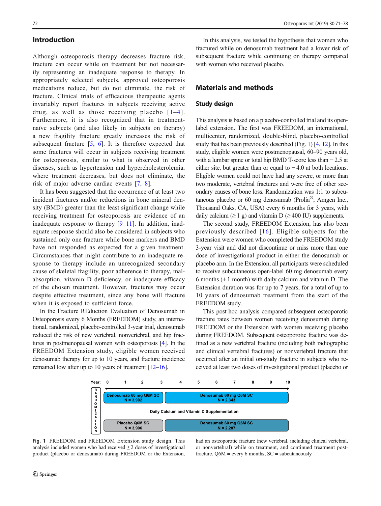## Introduction

Although osteoporosis therapy decreases fracture risk, fracture can occur while on treatment but not necessarily representing an inadequate response to therapy. In appropriately selected subjects, approved osteoporosis medications reduce, but do not eliminate, the risk of fracture. Clinical trials of efficacious therapeutic agents invariably report fractures in subjects receiving active drug, as well as those receiving placebo  $[1-4]$  $[1-4]$  $[1-4]$  $[1-4]$ . Furthermore, it is also recognized that in treatmentnaïve subjects (and also likely in subjects on therapy) a new fragility fracture greatly increases the risk of subsequent fracture  $[5, 6]$  $[5, 6]$  $[5, 6]$  $[5, 6]$  $[5, 6]$ . It is therefore expected that some fractures will occur in subjects receiving treatment for osteoporosis, similar to what is observed in other diseases, such as hypertension and hypercholesterolemia, where treatment decreases, but does not eliminate, the risk of major adverse cardiac events [[7](#page-7-0), [8](#page-7-0)].

It has been suggested that the occurrence of at least two incident fractures and/or reductions in bone mineral density (BMD) greater than the least significant change while receiving treatment for osteoporosis are evidence of an inadequate response to therapy  $[9-11]$  $[9-11]$  $[9-11]$  $[9-11]$ . In addition, inadequate response should also be considered in subjects who sustained only one fracture while bone markers and BMD have not responded as expected for a given treatment. Circumstances that might contribute to an inadequate response to therapy include an unrecognized secondary cause of skeletal fragility, poor adherence to therapy, malabsorption, vitamin D deficiency, or inadequate efficacy of the chosen treatment. However, fractures may occur despite effective treatment, since any bone will fracture when it is exposed to sufficient force.

In the Fracture REduction Evaluation of Denosumab in Osteoporosis every 6 Months (FREEDOM) study, an international, randomized, placebo-controlled 3-year trial, denosumab reduced the risk of new vertebral, nonvertebral, and hip fractures in postmenopausal women with osteoporosis [[4\]](#page-7-0). In the FREEDOM Extension study, eligible women received denosumab therapy for up to 10 years, and fracture incidence remained low after up to 10 years of treatment [\[12](#page-7-0)–[16\]](#page-7-0).

In this analysis, we tested the hypothesis that women who fractured while on denosumab treatment had a lower risk of subsequent fracture while continuing on therapy compared with women who received placebo.

## Materials and methods

#### Study design

This analysis is based on a placebo-controlled trial and its openlabel extension. The first was FREEDOM, an international, multicenter, randomized, double-blind, placebo-controlled study that has been previously described (Fig. 1) [\[4,](#page-7-0) [12\]](#page-7-0). In this study, eligible women were postmenopausal, 60–90 years old, with a lumbar spine or total hip BMD T-score less than − 2.5 at either site, but greater than or equal to  $-4.0$  at both locations. Eligible women could not have had any severe, or more than two moderate, vertebral fractures and were free of other secondary causes of bone loss. Randomization was 1:1 to subcutaneous placebo or 60 mg denosumab (Prolia®; Amgen Inc., Thousand Oaks, CA, USA) every 6 months for 3 years, with daily calcium ( $\geq 1$  g) and vitamin D ( $\geq 400$  IU) supplements.

The second study, FREEDOM Extension, has also been previously described [[16\]](#page-7-0). Eligible subjects for the Extension were women who completed the FREEDOM study 3-year visit and did not discontinue or miss more than one dose of investigational product in either the denosumab or placebo arm. In the Extension, all participants were scheduled to receive subcutaneous open-label 60 mg denosumab every 6 months  $(\pm 1 \text{ month})$  with daily calcium and vitamin D. The Extension duration was for up to 7 years, for a total of up to 10 years of denosumab treatment from the start of the FREEDOM study.

This post-hoc analysis compared subsequent osteoporotic fracture rates between women receiving denosumab during FREEDOM or the Extension with women receiving placebo during FREEDOM. Subsequent osteoporotic fracture was defined as a new vertebral fracture (including both radiographic and clinical vertebral fractures) or nonvertebral fracture that occurred after an initial on-study fracture in subjects who received at least two doses of investigational product (placebo or



Fig. 1 FREEDOM and FREEDOM Extension study design. This analysis included women who had received  $\geq 2$  doses of investigational product (placebo or denosumab) during FREEDOM or the Extension,

had an osteoporotic fracture (new vertebral, including clinical vertebral, or nonvertebral) while on treatment, and continued treatment postfracture.  $Q6M$  = every 6 months;  $SC$  = subcutaneously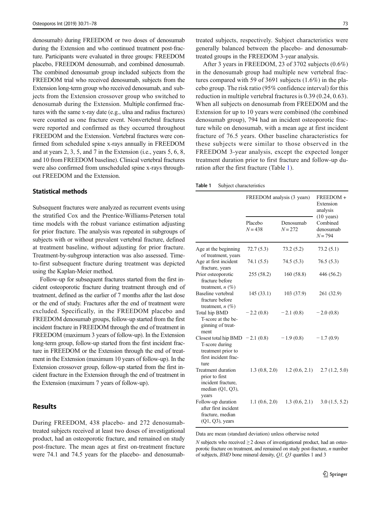denosumab) during FREEDOM or two doses of denosumab during the Extension and who continued treatment post-fracture. Participants were evaluated in three groups: FREEDOM placebo, FREEDOM denosumab, and combined denosumab. The combined denosumab group included subjects from the FREEDOM trial who received denosumab, subjects from the Extension long-term group who received denosumab, and subjects from the Extension crossover group who switched to denosumab during the Extension. Multiple confirmed fractures with the same x-ray date (e.g., ulna and radius fractures) were counted as one fracture event. Nonvertebral fractures were reported and confirmed as they occurred throughout FREEDOM and the Extension. Vertebral fractures were confirmed from scheduled spine x-rays annually in FREEDOM and at years 2, 3, 5, and 7 in the Extension (i.e., years 5, 6, 8, and 10 from FREEDOM baseline). Clinical vertebral fractures were also confirmed from unscheduled spine x-rays throughout FREEDOM and the Extension.

## Statistical methods

Subsequent fractures were analyzed as recurrent events using the stratified Cox and the Prentice-Williams-Petersen total time models with the robust variance estimation adjusting for prior fracture. The analysis was repeated in subgroups of subjects with or without prevalent vertebral fracture, defined at treatment baseline, without adjusting for prior fracture. Treatment-by-subgroup interaction was also assessed. Timeto-first subsequent fracture during treatment was depicted using the Kaplan-Meier method.

Follow-up for subsequent fractures started from the first incident osteoporotic fracture during treatment through end of treatment, defined as the earlier of 7 months after the last dose or the end of study. Fractures after the end of treatment were excluded. Specifically, in the FREEDOM placebo and FREEDOM denosumab groups, follow-up started from the first incident fracture in FREEDOM through the end of treatment in FREEDOM (maximum 3 years of follow-up). In the Extension long-term group, follow-up started from the first incident fracture in FREEDOM or the Extension through the end of treatment in the Extension (maximum 10 years of follow-up). In the Extension crossover group, follow-up started from the first incident fracture in the Extension through the end of treatment in the Extension (maximum 7 years of follow-up).

#### Results

During FREEDOM, 438 placebo- and 272 denosumabtreated subjects received at least two doses of investigational product, had an osteoporotic fracture, and remained on study post-fracture. The mean ages at first on-treatment fracture were 74.1 and 74.5 years for the placebo- and denosumab-

treated subjects, respectively. Subject characteristics were generally balanced between the placebo- and denosumabtreated groups in the FREEDOM 3-year analysis.

After 3 years in FREEDOM, 23 of 3702 subjects (0.6%) in the denosumab group had multiple new vertebral fractures compared with 59 of 3691 subjects (1.6%) in the placebo group. The risk ratio (95% confidence interval) for this reduction in multiple vertebral fractures is 0.39 (0.24, 0.63). When all subjects on denosumab from FREEDOM and the Extension for up to 10 years were combined (the combined denosumab group), 794 had an incident osteoporotic fracture while on denosumab, with a mean age at first incident fracture of 76.5 years. Other baseline characteristics for these subjects were similar to those observed in the FREEDOM 3-year analysis, except the expected longer treatment duration prior to first fracture and follow-up duration after the first fracture (Table 1).

Table 1 Subject characteristics

|                                                                                                           | FREEDOM analysis (3 years) |                        | FREEDOM +<br>Extension<br>analysis                         |
|-----------------------------------------------------------------------------------------------------------|----------------------------|------------------------|------------------------------------------------------------|
|                                                                                                           | Placebo<br>$N = 438$       | Denosumab<br>$N = 272$ | $(10 \text{ years})$<br>Combined<br>denosumab<br>$N = 794$ |
| Age at the beginning<br>of treatment, years                                                               | 72.7(5.3)                  | 73.2(5.2)              | 73.2(5.1)                                                  |
| Age at first incident<br>fracture, years                                                                  | 74.1 (5.5)                 | 74.5(5.3)              | 76.5(5.3)                                                  |
| Prior osteoporotic<br>fracture before<br>treatment, $n$ $(\%)$                                            | 255 (58.2)                 | 160(58.8)              | 446 (56.2)                                                 |
| Baseline vertebral<br>fracture before<br>treatment, $n$ $(\%)$                                            | 145(33.1)                  | 103(37.9)              | 261 (32.9)                                                 |
| Total hip BMD<br>T-score at the be-<br>ginning of treat-<br>ment                                          | $-2.2(0.8)$                | $-2.1(0.8)$            | $-2.0(0.8)$                                                |
| Closest total hip BMD $-2.1(0.8)$<br>T-score during<br>treatment prior to<br>first incident frac-<br>ture |                            | $-1.9(0.8)$            | $-1.7(0.9)$                                                |
| <b>Treatment duration</b><br>prior to first<br>incident fracture.<br>median $(Q1, Q3)$ ,<br>years         | 1.3(0.8, 2.0)              | 1.2(0.6, 2.1)          | 2.7(1.2, 5.0)                                              |
| Follow-up duration<br>after first incident<br>fracture, median<br>$(Q1, Q3)$ , years                      | 1.1(0.6, 2.0)              | 1.3(0.6, 2.1)          | 3.0(1.5, 5.2)                                              |

Data are mean (standard deviation) unless otherwise noted

 $N$  subjects who received  $\geq 2$  doses of investigational product, had an osteoporotic fracture on treatment, and remained on study post-fracture,  $n$  number of subjects, BMD bone mineral density, Q1, Q3 quartiles 1 and 3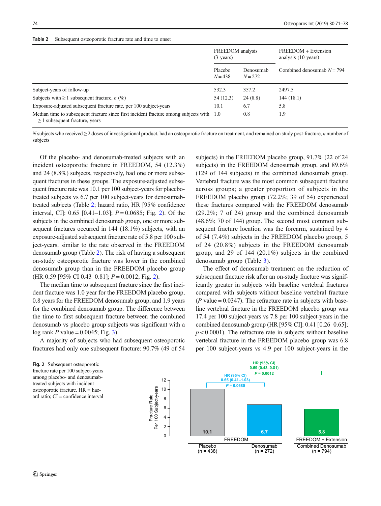Table 2 Subsequent osteoporotic fracture rate and time to onset

|                                                                                                                                 | FREEDOM analysis<br>$(3 \text{ years})$ |                        | FREEDOM + Extension<br>analysis (10 years) |  |
|---------------------------------------------------------------------------------------------------------------------------------|-----------------------------------------|------------------------|--------------------------------------------|--|
|                                                                                                                                 | Placebo<br>$N = 438$                    | Denosumab<br>$N = 272$ | Combined denosumab $N = 794$               |  |
| Subject-years of follow-up                                                                                                      | 532.3                                   | 357.2                  | 2497.5                                     |  |
| Subjects with $\geq 1$ subsequent fracture, <i>n</i> (%)                                                                        | 54 (12.3)                               | 24(8.8)                | 144 (18.1)                                 |  |
| Exposure-adjusted subsequent fracture rate, per 100 subject-years                                                               | 10.1                                    | 6.7                    | 5.8                                        |  |
| Median time to subsequent fracture since first incident fracture among subjects with 1.0<br>$\geq$ 1 subsequent fracture, years |                                         | 0.8                    | 1.9                                        |  |

N subjects who received  $\geq 2$  doses of investigational product, had an osteoporotic fracture on treatment, and remained on study post-fracture, n number of subjects

Of the placebo- and denosumab-treated subjects with an incident osteoporotic fracture in FREEDOM, 54 (12.3%) and 24 (8.8%) subjects, respectively, had one or more subsequent fractures in these groups. The exposure-adjusted subsequent fracture rate was 10.1 per 100 subject-years for placebotreated subjects vs 6.7 per 100 subject-years for denosumabtreated subjects (Table 2; hazard ratio, HR [95% confidence interval, CI]: 0.65 [0.41–1.03];  $P = 0.0685$ ; Fig. 2). Of the subjects in the combined denosumab group, one or more subsequent fractures occurred in 144 (18.1%) subjects, with an exposure-adjusted subsequent fracture rate of 5.8 per 100 subject-years, similar to the rate observed in the FREEDOM denosumab group (Table 2). The risk of having a subsequent on-study osteoporotic fracture was lower in the combined denosumab group than in the FREEDOM placebo group  $(HR 0.59 [95\% CI 0.43-0.81]; P = 0.0012; Fig. 2).$ 

The median time to subsequent fracture since the first incident fracture was 1.0 year for the FREEDOM placebo group, 0.8 years for the FREEDOM denosumab group, and 1.9 years for the combined denosumab group. The difference between the time to first subsequent fracture between the combined denosumab vs placebo group subjects was significant with a log rank  $P$  value = 0.0045; Fig. [3\)](#page-4-0).

A majority of subjects who had subsequent osteoporotic fractures had only one subsequent fracture: 90.7% (49 of 54

subjects) in the FREEDOM placebo group, 91.7% (22 of 24 subjects) in the FREEDOM denosumab group, and 89.6% (129 of 144 subjects) in the combined denosumab group. Vertebral fracture was the most common subsequent fracture across groups; a greater proportion of subjects in the FREEDOM placebo group (72.2%; 39 of 54) experienced these fractures compared with the FREEDOM denosumab (29.2%; 7 of 24) group and the combined denosumab (48.6%; 70 of 144) group. The second most common subsequent fracture location was the forearm, sustained by 4 of 54 (7.4%) subjects in the FREEDOM placebo group, 5 of 24 (20.8%) subjects in the FREEDOM denosumab group, and 29 of 144 (20.1%) subjects in the combined denosumab group (Table [3](#page-4-0)).

The effect of denosumab treatment on the reduction of subsequent fracture risk after an on-study fracture was significantly greater in subjects with baseline vertebral fractures compared with subjects without baseline vertebral fracture ( $P$  value = 0.0347). The refracture rate in subjects with baseline vertebral fracture in the FREEDOM placebo group was 17.4 per 100 subject-years vs 7.8 per 100 subject-years in the combined denosumab group (HR [95% CI]: 0.41 [0.26–0.65];  $p < 0.0001$ ). The refracture rate in subjects without baseline vertebral fracture in the FREEDOM placebo group was 6.8 per 100 subject-years vs 4.9 per 100 subject-years in the

Fig. 2 Subsequent osteoporotic fracture rate per 100 subject-years among placebo- and denosumabtreated subjects with incident osteoporotic fracture. HR = hazard ratio; CI = confidence interval

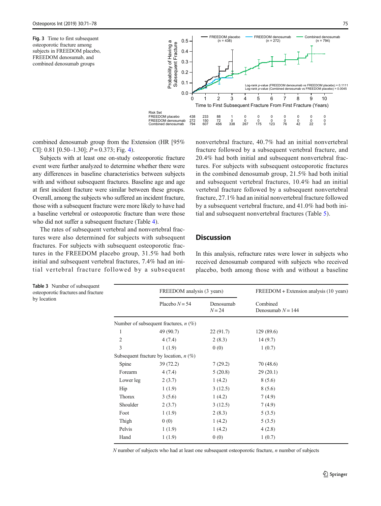<span id="page-4-0"></span>(n = 794) Fig. 3 Time to first subsequent osteoporotic fracture among subjects in FREEDOM placebo, FREEDOM denosumab, and combined denosumab groups

by location



combined denosumab group from the Extension (HR [95% CI]: 0.81  $[0.50-1.30]$ ;  $P = 0.373$ ; Fig. [4\)](#page-5-0).

Subjects with at least one on-study osteoporotic fracture event were further analyzed to determine whether there were any differences in baseline characteristics between subjects with and without subsequent fractures. Baseline age and age at first incident fracture were similar between these groups. Overall, among the subjects who suffered an incident fracture, those with a subsequent fracture were more likely to have had a baseline vertebral or osteoporotic fracture than were those who did not suffer a subsequent fracture (Table [4\)](#page-5-0).

The rates of subsequent vertebral and nonvertebral fractures were also determined for subjects with subsequent fractures. For subjects with subsequent osteoporotic fractures in the FREEDOM placebo group, 31.5% had both initial and subsequent vertebral fractures, 7.4% had an initial vertebral fracture followed by a subsequent nonvertebral fracture, 40.7% had an initial nonvertebral fracture followed by a subsequent vertebral fracture, and 20.4% had both initial and subsequent nonvertebral fractures. For subjects with subsequent osteoporotic fractures in the combined denosumab group, 21.5% had both initial and subsequent vertebral fractures, 10.4% had an initial vertebral fracture followed by a subsequent nonvertebral fracture, 27.1% had an initial nonvertebral fracture followed by a subsequent vertebral fracture, and 41.0% had both initial and subsequent nonvertebral fractures (Table [5\)](#page-6-0).

## **Discussion**

In this analysis, refracture rates were lower in subjects who received denosumab compared with subjects who received placebo, both among those with and without a baseline

Table 3 Number of subsequent osteoporotic fractures and fracture FREEDOM analysis (3 years) FREEDOM + Extension analysis (10 years) Placebo  $N = 54$  Denosumab  $N = 24$ Combined Denosumab  $N = 144$ Number of subsequent fractures,  $n$  (%) 1 49 (90.7) 22 (91.7) 129 (89.6) 2 4 (7.4) 2 (8.3) 14 (9.7) 3 1 (1.9) 0 (0) 1 (0.7) Subsequent fracture by location,  $n$  (%) Spine 39 (72.2) 7 (29.2) 70 (48.6) Forearm 4 (7.4) 5 (20.8) 29 (20.1) Lower leg 2 (3.7) 1 (4.2) 8 (5.6) Hip  $1 (1.9)$   $3 (12.5)$   $8 (5.6)$ Thorax  $3 (5.6)$  1 (4.2)  $7 (4.9)$ Shoulder 2 (3.7) 3 (12.5) 7 (4.9) Foot  $1 (1.9)$   $2 (8.3)$   $5 (3.5)$ Thigh  $0 (0)$  1 (4.2) 5 (3.5) Pelvis  $1 (1.9)$   $1 (4.2)$   $4 (2.8)$ 

 $N$  number of subjects who had at least one subsequent osteoporotic fracture,  $n$  number of subjects

Hand  $1 (1.9)$  0 (0)  $1 (0.7)$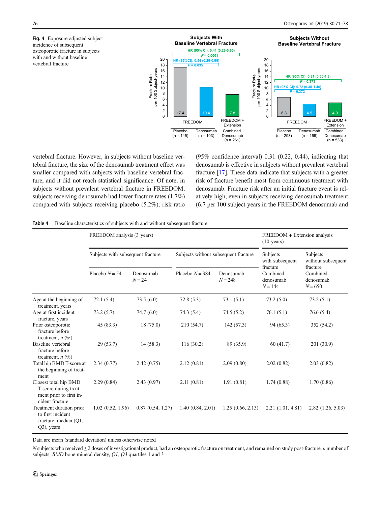<span id="page-5-0"></span>Fig. 4 Exposure-adjusted subject incidence of subsequent osteoporotic fracture in subjects with and without baseline vertebral fracture



vertebral fracture. However, in subjects without baseline vertebral fracture, the size of the denosumab treatment effect was smaller compared with subjects with baseline vertebral fracture, and it did not reach statistical significance. Of note, in subjects without prevalent vertebral fracture in FREEDOM, subjects receiving denosumab had lower fracture rates (1.7%) compared with subjects receiving placebo (5.2%); risk ratio (95% confidence interval) 0.31 (0.22, 0.44), indicating that denosumab is effective in subjects without prevalent vertebral fracture [\[17\]](#page-7-0). These data indicate that subjects with a greater risk of fracture benefit most from continuous treatment with denosumab. Fracture risk after an initial fracture event is relatively high, even in subjects receiving denosumab treatment (6.7 per 100 subject-years in the FREEDOM denosumab and

Table 4 Baseline characteristics of subjects with and without subsequent fracture

|                                                                                              | FREEDOM analysis (3 years)        |                       |                                      |                        | FREEDOM + Extension analysis<br>$(10 \text{ years})$ |                                                |
|----------------------------------------------------------------------------------------------|-----------------------------------|-----------------------|--------------------------------------|------------------------|------------------------------------------------------|------------------------------------------------|
|                                                                                              | Subjects with subsequent fracture |                       | Subjects without subsequent fracture |                        | Subjects<br>with subsequent                          | Subjects<br>without subsequent                 |
|                                                                                              | Placebo $N = 54$                  | Denosumab<br>$N = 24$ | Placebo $N = 384$                    | Denosumab<br>$N = 248$ | fracture<br>Combined<br>denosumab<br>$N = 144$       | fracture<br>Combined<br>denosumab<br>$N = 650$ |
| Age at the beginning of<br>treatment, years                                                  | 72.1(5.4)                         | 73.5(6.0)             | 72.8(5.3)                            | 73.1(5.1)              | 73.2(5.0)                                            | 73.2(5.1)                                      |
| Age at first incident<br>fracture, years                                                     | 73.2(5.7)                         | 74.7(6.0)             | 74.3(5.4)                            | 74.5(5.2)              | 76.1(5.1)                                            | 76.6(5.4)                                      |
| Prior osteoporotic<br>fracture before<br>treatment, $n(\%)$                                  | 45(83.3)                          | 18 (75.0)             | 210 (54.7)                           | 142(57.3)              | 94 (65.3)                                            | 352 (54.2)                                     |
| Baseline vertebral<br>fracture before<br>treatment, $n(\%)$                                  | 29(53.7)                          | 14(58.3)              | 116(30.2)                            | 89 (35.9)              | 60(41.7)                                             | 201 (30.9)                                     |
| Total hip BMD T-score at $-2.34(0.77)$<br>the beginning of treat-<br>ment                    |                                   | $-2.42(0.75)$         | $-2.12(0.81)$                        | $-2.09(0.80)$          | $-2.02(0.82)$                                        | $-2.03(0.82)$                                  |
| Closest total hip BMD<br>T-score during treat-<br>ment prior to first in-<br>cident fracture | $-2.29(0.84)$                     | $-2.43(0.97)$         | $-2.11(0.81)$                        | $-1.91(0.81)$          | $-1.74(0.88)$                                        | $-1.70(0.86)$                                  |
| Treatment duration prior<br>to first incident<br>fracture, median (Q1,<br>Q3), years         | 1.02(0.52, 1.96)                  | 0.87(0.54, 1.27)      | 1.40(0.84, 2.01)                     | 1.25(0.66, 2.13)       | 2.21(1.01, 4.81)                                     | $2.82$ $(1.26, 5.03)$                          |

Data are mean (standard deviation) unless otherwise noted

N subjects who received  $\geq 2$  doses of investigational product, had an osteoporotic fracture on treatment, and remained on study post-fracture, n number of subjects, *BMD* bone mineral density, *Q1*, *Q3* quartiles 1 and 3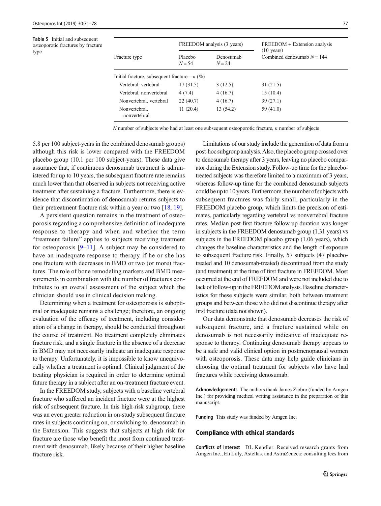<span id="page-6-0"></span>Table 5 Initial and subsequent osteoporotic fractures by fracture type

|                                                | FREEDOM analysis (3 years) |                       | FREEDOM + Extension analysis                         |  |
|------------------------------------------------|----------------------------|-----------------------|------------------------------------------------------|--|
| Fracture type                                  | Placebo<br>$N = 54$        | Denosumah<br>$N = 24$ | $(10 \text{ years})$<br>Combined denosumab $N = 144$ |  |
| Initial fracture, subsequent fracture— $n$ (%) |                            |                       |                                                      |  |
| Vertebral, vertebral                           | 17(31.5)                   | 3(12.5)               | 31 (21.5)                                            |  |
| Vertebral, nonvertebral                        | 4(7.4)                     | 4(16.7)               | 15(10.4)                                             |  |
| Nonvertebral, vertebral                        | 22(40.7)                   | 4(16.7)               | 39(27.1)                                             |  |
| Nonvertebral.<br>nonvertebral                  | 11(20.4)                   | 13 (54.2)             | 59 (41.0)                                            |  |

 $N$  number of subjects who had at least one subsequent osteoporotic fracture,  $n$  number of subjects

5.8 per 100 subject-years in the combined denosumab groups) although this risk is lower compared with the FREEDOM placebo group (10.1 per 100 subject-years). These data give assurance that, if continuous denosumab treatment is administered for up to 10 years, the subsequent fracture rate remains much lower than that observed in subjects not receiving active treatment after sustaining a fracture. Furthermore, there is evidence that discontinuation of denosumab returns subjects to their pretreatment fracture risk within a year or two [\[18](#page-7-0), [19](#page-7-0)].

A persistent question remains in the treatment of osteoporosis regarding a comprehensive definition of inadequate response to therapy and when and whether the term "treatment failure" applies to subjects receiving treatment for osteoporosis  $[9-11]$  $[9-11]$  $[9-11]$  $[9-11]$  $[9-11]$ . A subject may be considered to have an inadequate response to therapy if he or she has one fracture with decreases in BMD or two (or more) fractures. The role of bone remodeling markers and BMD measurements in combination with the number of fractures contributes to an overall assessment of the subject which the clinician should use in clinical decision making.

Determining when a treatment for osteoporosis is suboptimal or inadequate remains a challenge; therefore, an ongoing evaluation of the efficacy of treatment, including consideration of a change in therapy, should be conducted throughout the course of treatment. No treatment completely eliminates fracture risk, and a single fracture in the absence of a decrease in BMD may not necessarily indicate an inadequate response to therapy. Unfortunately, it is impossible to know unequivocally whether a treatment is optimal. Clinical judgment of the treating physician is required in order to determine optimal future therapy in a subject after an on-treatment fracture event.

In the FREEDOM study, subjects with a baseline vertebral fracture who suffered an incident fracture were at the highest risk of subsequent fracture. In this high-risk subgroup, there was an even greater reduction in on-study subsequent fracture rates in subjects continuing on, or switching to, denosumab in the Extension. This suggests that subjects at high risk for fracture are those who benefit the most from continued treatment with denosumab, likely because of their higher baseline fracture risk.

Limitations of our study include the generation of data from a post-hoc subgroup analysis. Also, the placebo group crossed over to denosumab therapy after 3 years, leaving no placebo comparator during the Extension study. Follow-up time for the placebotreated subjects was therefore limited to a maximum of 3 years, whereas follow-up time for the combined denosumab subjects could be up to 10 years. Furthermore, the number of subjects with subsequent fractures was fairly small, particularly in the FREEDOM placebo group, which limits the precision of estimates, particularly regarding vertebral vs nonvertebral fracture rates. Median post-first fracture follow-up duration was longer in subjects in the FREEDOM denosumab group (1.31 years) vs subjects in the FREEDOM placebo group (1.06 years), which changes the baseline characteristics and the length of exposure to subsequent fracture risk. Finally, 57 subjects (47 placebotreated and 10 denosumab-treated) discontinued from the study (and treatment) at the time of first fracture in FREEDOM. Most occurred at the end of FREEDOM and were not included due to lack of follow-up in the FREEDOM analysis. Baseline characteristics for these subjects were similar, both between treatment groups and between those who did not discontinue therapy after first fracture (data not shown).

Our data demonstrate that denosumab decreases the risk of subsequent fracture, and a fracture sustained while on denosumab is not necessarily indicative of inadequate response to therapy. Continuing denosumab therapy appears to be a safe and valid clinical option in postmenopausal women with osteoporosis. These data may help guide clinicians in choosing the optimal treatment for subjects who have had fractures while receiving denosumab.

Acknowledgements The authors thank James Ziobro (funded by Amgen Inc.) for providing medical writing assistance in the preparation of this manuscript.

Funding This study was funded by Amgen Inc.

#### Compliance with ethical standards

Conflicts of interest DL Kendler: Received research grants from Amgen Inc., Eli Lilly, Astellas, and AstraZeneca; consulting fees from